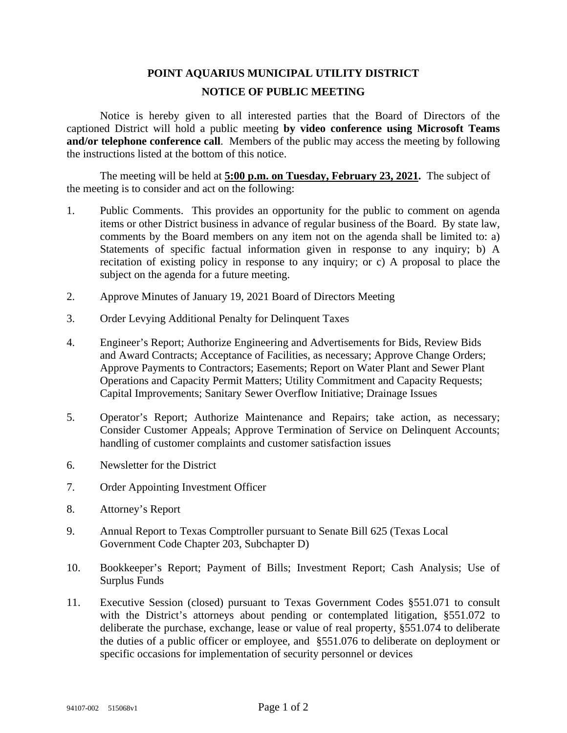## **POINT AQUARIUS MUNICIPAL UTILITY DISTRICT NOTICE OF PUBLIC MEETING**

Notice is hereby given to all interested parties that the Board of Directors of the captioned District will hold a public meeting **by video conference using Microsoft Teams and/or telephone conference call**. Members of the public may access the meeting by following the instructions listed at the bottom of this notice.

The meeting will be held at **5:00 p.m. on Tuesday, February 23, 2021.** The subject of the meeting is to consider and act on the following:

- 1. Public Comments. This provides an opportunity for the public to comment on agenda items or other District business in advance of regular business of the Board. By state law, comments by the Board members on any item not on the agenda shall be limited to: a) Statements of specific factual information given in response to any inquiry; b) A recitation of existing policy in response to any inquiry; or c) A proposal to place the subject on the agenda for a future meeting.
- 2. Approve Minutes of January 19, 2021 Board of Directors Meeting
- 3. Order Levying Additional Penalty for Delinquent Taxes
- 4. Engineer's Report; Authorize Engineering and Advertisements for Bids, Review Bids and Award Contracts; Acceptance of Facilities, as necessary; Approve Change Orders; Approve Payments to Contractors; Easements; Report on Water Plant and Sewer Plant Operations and Capacity Permit Matters; Utility Commitment and Capacity Requests; Capital Improvements; Sanitary Sewer Overflow Initiative; Drainage Issues
- 5. Operator's Report; Authorize Maintenance and Repairs; take action, as necessary; Consider Customer Appeals; Approve Termination of Service on Delinquent Accounts; handling of customer complaints and customer satisfaction issues
- 6. Newsletter for the District
- 7. Order Appointing Investment Officer
- 8. Attorney's Report
- 9. Annual Report to Texas Comptroller pursuant to Senate Bill 625 (Texas Local Government Code Chapter 203, Subchapter D)
- 10. Bookkeeper's Report; Payment of Bills; Investment Report; Cash Analysis; Use of Surplus Funds
- 11. Executive Session (closed) pursuant to Texas Government Codes §551.071 to consult with the District's attorneys about pending or contemplated litigation, §551.072 to deliberate the purchase, exchange, lease or value of real property, §551.074 to deliberate the duties of a public officer or employee, and §551.076 to deliberate on deployment or specific occasions for implementation of security personnel or devices